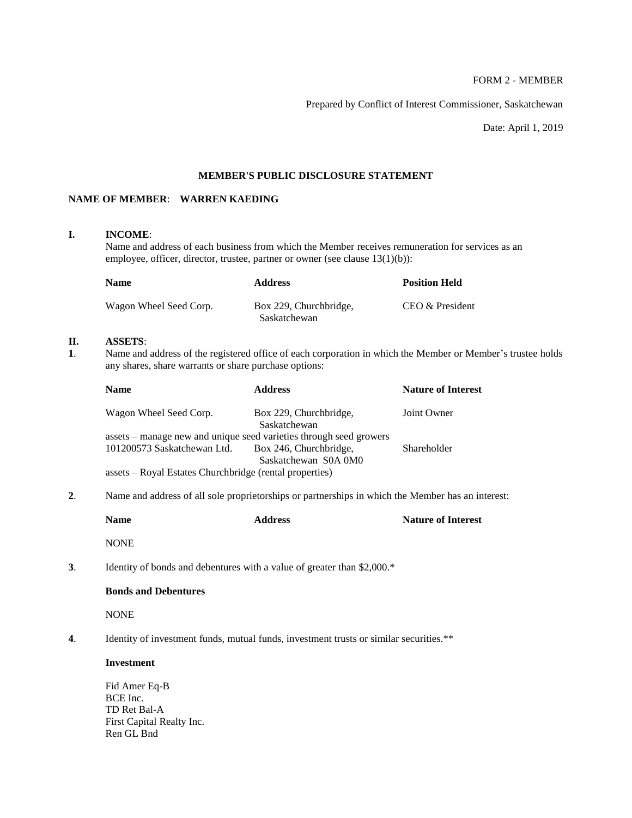# FORM 2 - MEMBER

Prepared by Conflict of Interest Commissioner, Saskatchewan

Date: April 1, 2019

## **MEMBER'S PUBLIC DISCLOSURE STATEMENT**

# **NAME OF MEMBER**: **WARREN KAEDING**

# **I. INCOME**:

Name and address of each business from which the Member receives remuneration for services as an employee, officer, director, trustee, partner or owner (see clause 13(1)(b)):

| <b>Name</b>            | <b>Address</b>                         | <b>Position Held</b> |
|------------------------|----------------------------------------|----------------------|
| Wagon Wheel Seed Corp. | Box 229, Churchbridge,<br>Saskatchewan | CEO & President      |

## **II. ASSETS**:

**1**. Name and address of the registered office of each corporation in which the Member or Member's trustee holds any shares, share warrants or share purchase options:

| <b>Name</b>                                                        | <b>Address</b>                         | <b>Nature of Interest</b> |
|--------------------------------------------------------------------|----------------------------------------|---------------------------|
| Wagon Wheel Seed Corp.                                             | Box 229, Churchbridge,<br>Saskatchewan | Joint Owner               |
| assets – manage new and unique seed varieties through seed growers |                                        |                           |
| 101200573 Saskatchewan Ltd.                                        | Box 246, Churchbridge,                 | Shareholder               |
|                                                                    | Saskatchewan S0A 0M0                   |                           |
| assets – Royal Estates Churchbridge (rental properties)            |                                        |                           |

**2**. Name and address of all sole proprietorships or partnerships in which the Member has an interest:

|    | <b>Name</b>                                                                          | <b>Address</b>                                                                         | <b>Nature of Interest</b> |
|----|--------------------------------------------------------------------------------------|----------------------------------------------------------------------------------------|---------------------------|
|    | <b>NONE</b>                                                                          |                                                                                        |                           |
| 3. |                                                                                      | Identity of bonds and debentures with a value of greater than \$2,000.*                |                           |
|    | <b>Bonds and Debentures</b>                                                          |                                                                                        |                           |
|    | <b>NONE</b>                                                                          |                                                                                        |                           |
| 4. |                                                                                      | Identity of investment funds, mutual funds, investment trusts or similar securities.** |                           |
|    | <b>Investment</b>                                                                    |                                                                                        |                           |
|    | Fid Amer Eq-B<br>BCE Inc.<br>TD Ret Bal-A<br>First Capital Realty Inc.<br>Ren GL Bnd |                                                                                        |                           |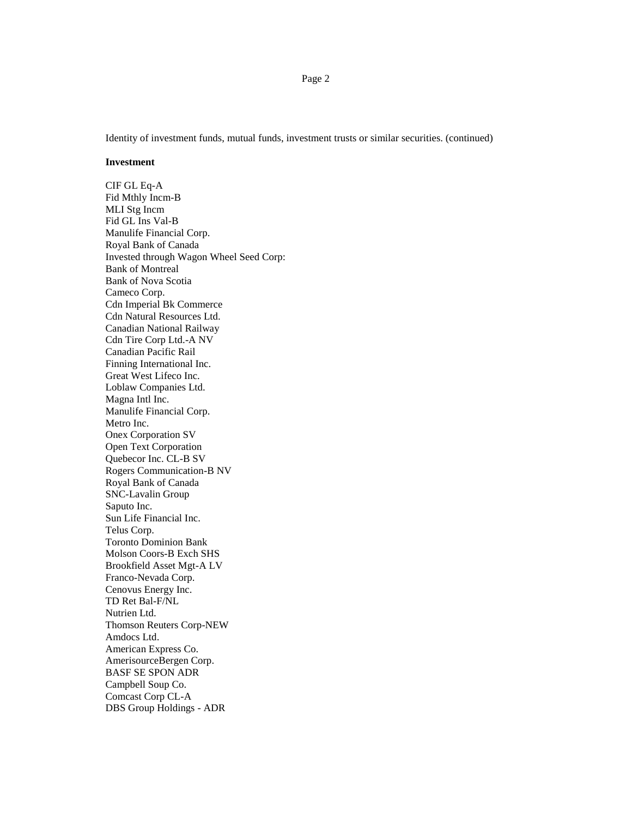Identity of investment funds, mutual funds, investment trusts or similar securities. (continued)

#### **Investment**

CIF GL Eq-A Fid Mthly Incm-B MLI Stg Incm Fid GL Ins Val-B Manulife Financial Corp. Royal Bank of Canada Invested through Wagon Wheel Seed Corp: Bank of Montreal Bank of Nova Scotia Cameco Corp. Cdn Imperial Bk Commerce Cdn Natural Resources Ltd. Canadian National Railway Cdn Tire Corp Ltd.-A NV Canadian Pacific Rail Finning International Inc. Great West Lifeco Inc. Loblaw Companies Ltd. Magna Intl Inc. Manulife Financial Corp. Metro Inc. Onex Corporation SV Open Text Corporation Quebecor Inc. CL-B SV Rogers Communication-B NV Royal Bank of Canada SNC-Lavalin Group Saputo Inc. Sun Life Financial Inc. Telus Corp. Toronto Dominion Bank Molson Coors-B Exch SHS Brookfield Asset Mgt-A LV Franco-Nevada Corp. Cenovus Energy Inc. TD Ret Bal-F/NL Nutrien Ltd. Thomson Reuters Corp-NEW Amdocs Ltd. American Express Co. AmerisourceBergen Corp. BASF SE SPON ADR Campbell Soup Co. Comcast Corp CL-A DBS Group Holdings - ADR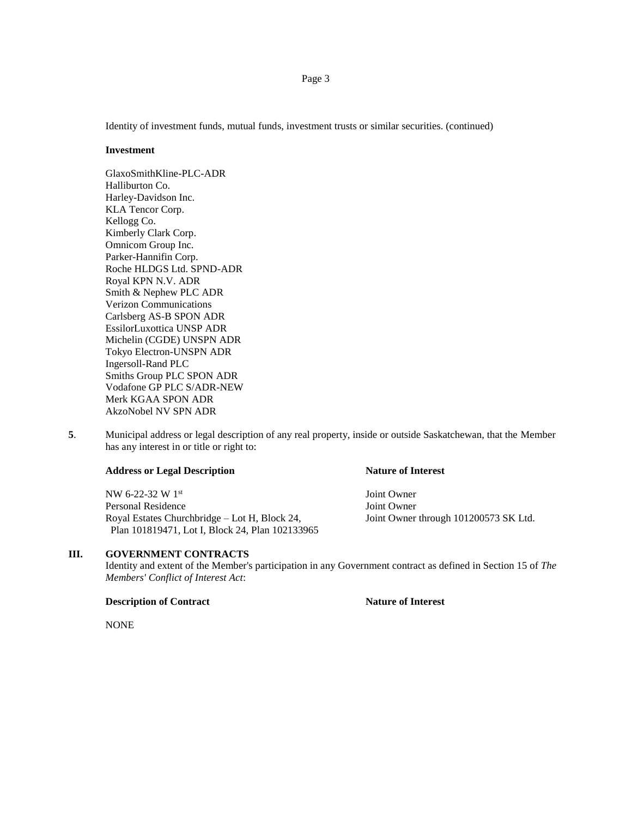Identity of investment funds, mutual funds, investment trusts or similar securities. (continued)

#### **Investment**

GlaxoSmithKline-PLC-ADR Halliburton Co. Harley-Davidson Inc. KLA Tencor Corp. Kellogg Co. Kimberly Clark Corp. Omnicom Group Inc. Parker-Hannifin Corp. Roche HLDGS Ltd. SPND-ADR Royal KPN N.V. ADR Smith & Nephew PLC ADR Verizon Communications Carlsberg AS-B SPON ADR EssilorLuxottica UNSP ADR Michelin (CGDE) UNSPN ADR Tokyo Electron-UNSPN ADR Ingersoll-Rand PLC Smiths Group PLC SPON ADR Vodafone GP PLC S/ADR-NEW Merk KGAA SPON ADR AkzoNobel NV SPN ADR

**5**. Municipal address or legal description of any real property, inside or outside Saskatchewan, that the Member has any interest in or title or right to:

### **Address or Legal Description Nature of Interest**

NW 6-22-32 W 1 Personal Residence Joint Owner Royal Estates Churchbridge – Lot H, Block 24, Joint Owner through 101200573 SK Ltd. Plan 101819471, Lot I, Block 24, Plan 102133965

## **III. GOVERNMENT CONTRACTS**

Identity and extent of the Member's participation in any Government contract as defined in Section 15 of *The Members' Conflict of Interest Act*:

### **Description of Contract Nature of Interest**

NONE

## Page 3

Joint Owner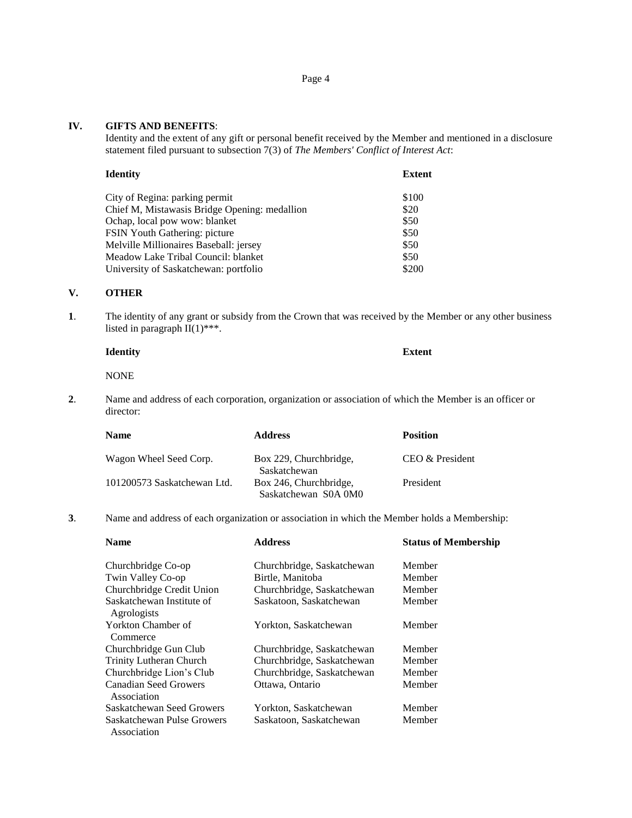Page 4

## **IV. GIFTS AND BENEFITS**:

Identity and the extent of any gift or personal benefit received by the Member and mentioned in a disclosure statement filed pursuant to subsection 7(3) of *The Members' Conflict of Interest Act*:

| <b>Identity</b>                               | Extent |
|-----------------------------------------------|--------|
| City of Regina: parking permit                | \$100  |
| Chief M, Mistawasis Bridge Opening: medallion | \$20   |
| Ochap, local pow wow: blanket                 | \$50   |
| FSIN Youth Gathering: picture                 | \$50   |
| Melville Millionaires Baseball: jersey        | \$50   |
| Meadow Lake Tribal Council: blanket           | \$50   |
| University of Saskatchewan: portfolio         | \$200  |

## **V. OTHER**

**1**. The identity of any grant or subsidy from the Crown that was received by the Member or any other business listed in paragraph II(1)\*\*\*.

| Identity |  | <b>Extent</b> |
|----------|--|---------------|
|          |  |               |

NONE

**2**. Name and address of each corporation, organization or association of which the Member is an officer or director:

| <b>Name</b>                 | <b>Address</b>                                 | <b>Position</b> |
|-----------------------------|------------------------------------------------|-----------------|
| Wagon Wheel Seed Corp.      | Box 229, Churchbridge,<br>Saskatchewan         | CEO & President |
| 101200573 Saskatchewan Ltd. | Box 246, Churchbridge,<br>Saskatchewan S0A 0M0 | President       |

**3**. Name and address of each organization or association in which the Member holds a Membership:

| <b>Name</b>                               | <b>Address</b>             | <b>Status of Membership</b> |
|-------------------------------------------|----------------------------|-----------------------------|
| Churchbridge Co-op                        | Churchbridge, Saskatchewan | Member                      |
| Twin Valley Co-op                         | Birtle, Manitoba           | Member                      |
| Churchbridge Credit Union                 | Churchbridge, Saskatchewan | Member                      |
| Saskatchewan Institute of<br>Agrologists  | Saskatoon, Saskatchewan    | Member                      |
| Yorkton Chamber of<br>Commerce            | Yorkton, Saskatchewan      | Member                      |
| Churchbridge Gun Club                     | Churchbridge, Saskatchewan | Member                      |
| <b>Trinity Lutheran Church</b>            | Churchbridge, Saskatchewan | Member                      |
| Churchbridge Lion's Club                  | Churchbridge, Saskatchewan | Member                      |
| Canadian Seed Growers<br>Association      | Ottawa, Ontario            | Member                      |
| Saskatchewan Seed Growers                 | Yorkton, Saskatchewan      | Member                      |
| Saskatchewan Pulse Growers<br>Association | Saskatoon, Saskatchewan    | Member                      |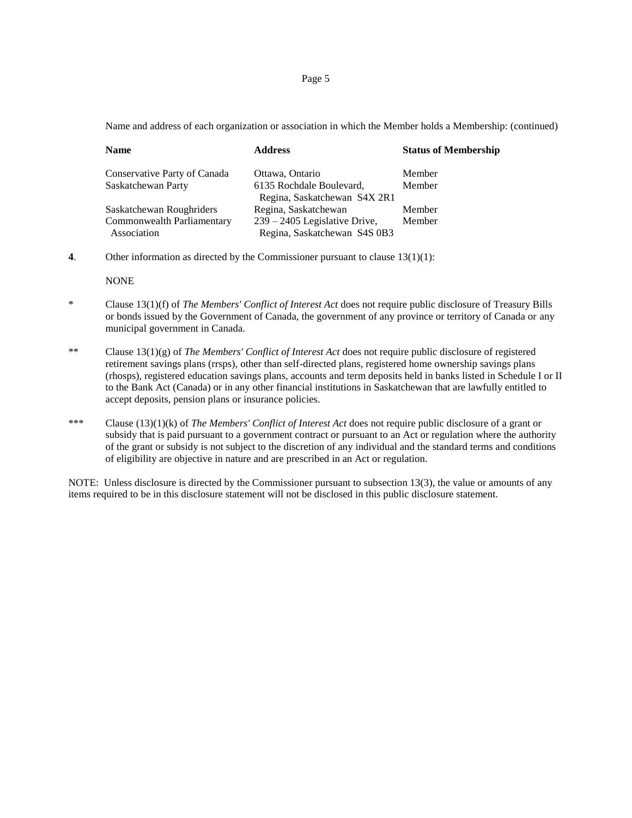Page 5

Name and address of each organization or association in which the Member holds a Membership: (continued)

| <b>Name</b>                               | <b>Address</b>                                                  | <b>Status of Membership</b> |
|-------------------------------------------|-----------------------------------------------------------------|-----------------------------|
| Conservative Party of Canada              | Ottawa, Ontario                                                 | Member                      |
| Saskatchewan Party                        | 6135 Rochdale Boulevard,<br>Regina, Saskatchewan S4X 2R1        | Member                      |
| Saskatchewan Roughriders                  | Regina, Saskatchewan                                            | Member                      |
| Commonwealth Parliamentary<br>Association | $239 - 2405$ Legislative Drive,<br>Regina, Saskatchewan S4S 0B3 | Member                      |

**4**. Other information as directed by the Commissioner pursuant to clause 13(1)(1):

NONE

- \* Clause 13(1)(f) of *The Members' Conflict of Interest Act* does not require public disclosure of Treasury Bills or bonds issued by the Government of Canada, the government of any province or territory of Canada or any municipal government in Canada.
- \*\* Clause 13(1)(g) of *The Members' Conflict of Interest Act* does not require public disclosure of registered retirement savings plans (rrsps), other than self-directed plans, registered home ownership savings plans (rhosps), registered education savings plans, accounts and term deposits held in banks listed in Schedule I or II to the Bank Act (Canada) or in any other financial institutions in Saskatchewan that are lawfully entitled to accept deposits, pension plans or insurance policies.
- \*\*\* Clause (13)(1)(k) of *The Members' Conflict of Interest Act* does not require public disclosure of a grant or subsidy that is paid pursuant to a government contract or pursuant to an Act or regulation where the authority of the grant or subsidy is not subject to the discretion of any individual and the standard terms and conditions of eligibility are objective in nature and are prescribed in an Act or regulation.

NOTE: Unless disclosure is directed by the Commissioner pursuant to subsection 13(3), the value or amounts of any items required to be in this disclosure statement will not be disclosed in this public disclosure statement.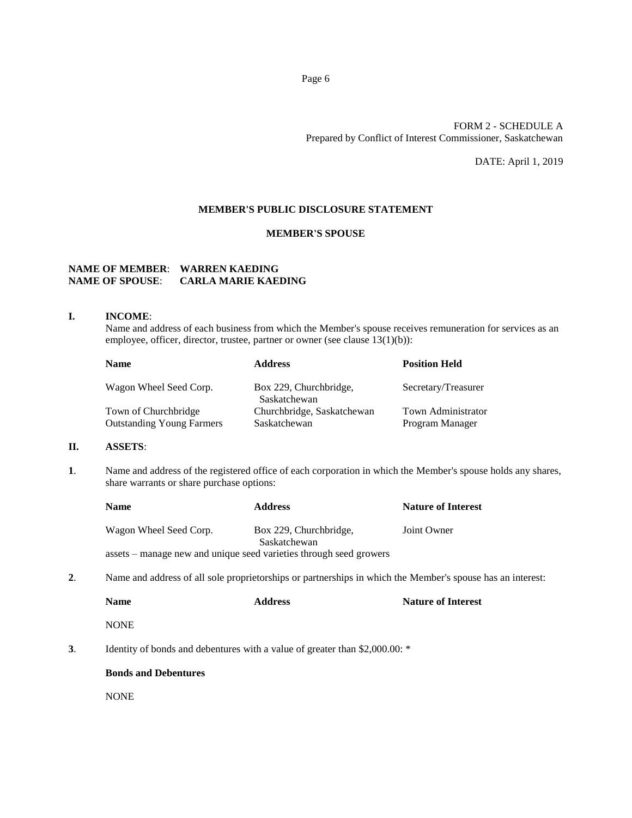## FORM 2 - SCHEDULE A Prepared by Conflict of Interest Commissioner, Saskatchewan

DATE: April 1, 2019

## **MEMBER'S PUBLIC DISCLOSURE STATEMENT**

## **MEMBER'S SPOUSE**

# **NAME OF MEMBER**: **WARREN KAEDING NAME OF SPOUSE**: **CARLA MARIE KAEDING**

#### **I. INCOME**:

Name and address of each business from which the Member's spouse receives remuneration for services as an employee, officer, director, trustee, partner or owner (see clause 13(1)(b)):

| <b>Name</b>                      | <b>Address</b>                         | <b>Position Held</b>      |
|----------------------------------|----------------------------------------|---------------------------|
| Wagon Wheel Seed Corp.           | Box 229, Churchbridge,<br>Saskatchewan | Secretary/Treasurer       |
| Town of Churchbridge             | Churchbridge, Saskatchewan             | <b>Town Administrator</b> |
| <b>Outstanding Young Farmers</b> | Saskatchewan                           | Program Manager           |

## **II. ASSETS**:

**1**. Name and address of the registered office of each corporation in which the Member's spouse holds any shares, share warrants or share purchase options:

|                                                                                                                                | <b>Name</b>            | <b>Address</b>                                                              | <b>Nature of Interest</b> |
|--------------------------------------------------------------------------------------------------------------------------------|------------------------|-----------------------------------------------------------------------------|---------------------------|
|                                                                                                                                | Wagon Wheel Seed Corp. | Box 229, Churchbridge,<br>Saskatchewan                                      | Joint Owner               |
|                                                                                                                                |                        | assets – manage new and unique seed varieties through seed growers          |                           |
| $\overline{2}$ .<br>Name and address of all sole proprietorships or partnerships in which the Member's spouse has an interest: |                        |                                                                             |                           |
|                                                                                                                                | <b>Name</b>            | <b>Address</b>                                                              | <b>Nature of Interest</b> |
|                                                                                                                                | <b>NONE</b>            |                                                                             |                           |
| 3.                                                                                                                             |                        | Identity of bonds and debentures with a value of greater than \$2,000.00: * |                           |

#### **Bonds and Debentures**

NONE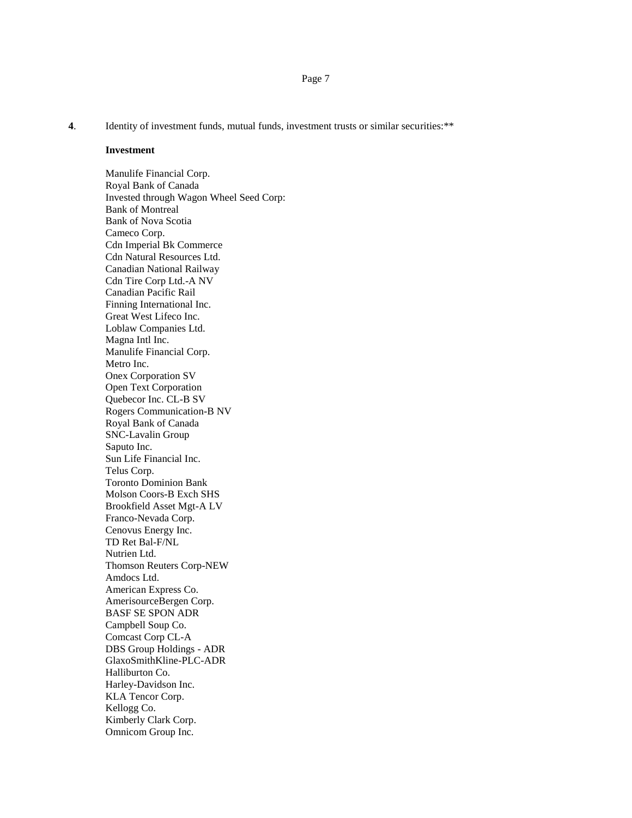Page 7

**4**. Identity of investment funds, mutual funds, investment trusts or similar securities:\*\*

#### **Investment**

Manulife Financial Corp. Royal Bank of Canada Invested through Wagon Wheel Seed Corp: Bank of Montreal Bank of Nova Scotia Cameco Corp. Cdn Imperial Bk Commerce Cdn Natural Resources Ltd. Canadian National Railway Cdn Tire Corp Ltd.-A NV Canadian Pacific Rail Finning International Inc. Great West Lifeco Inc. Loblaw Companies Ltd. Magna Intl Inc. Manulife Financial Corp. Metro Inc. Onex Corporation SV Open Text Corporation Quebecor Inc. CL-B SV Rogers Communication-B NV Royal Bank of Canada SNC-Lavalin Group Saputo Inc. Sun Life Financial Inc. Telus Corp. Toronto Dominion Bank Molson Coors-B Exch SHS Brookfield Asset Mgt-A LV Franco-Nevada Corp. Cenovus Energy Inc. TD Ret Bal-F/NL Nutrien Ltd. Thomson Reuters Corp-NEW Amdocs Ltd. American Express Co. AmerisourceBergen Corp. BASF SE SPON ADR Campbell Soup Co. Comcast Corp CL-A DBS Group Holdings - ADR GlaxoSmithKline-PLC-ADR Halliburton Co. Harley-Davidson Inc. KLA Tencor Corp. Kellogg Co. Kimberly Clark Corp. Omnicom Group Inc.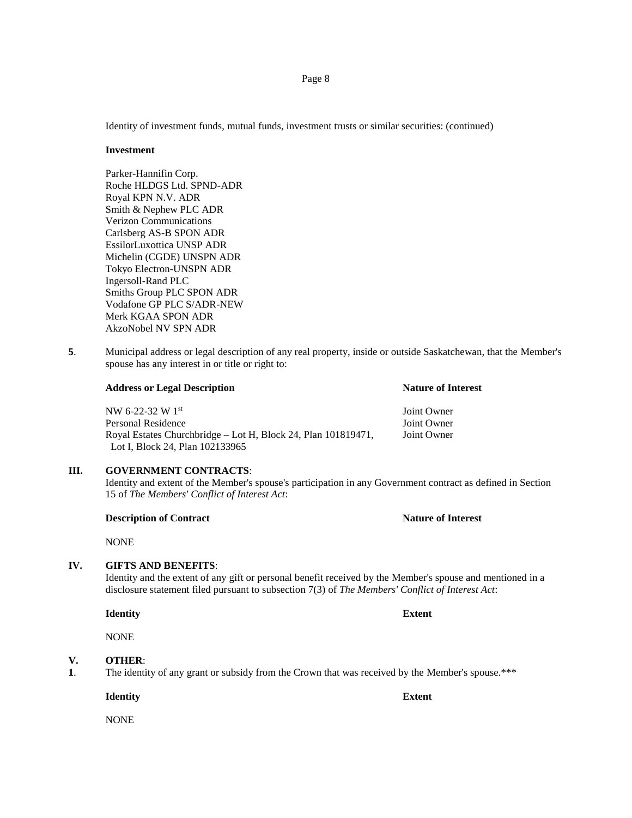Identity of investment funds, mutual funds, investment trusts or similar securities: (continued)

#### **Investment**

Parker-Hannifin Corp. Roche HLDGS Ltd. SPND-ADR Royal KPN N.V. ADR Smith & Nephew PLC ADR Verizon Communications Carlsberg AS-B SPON ADR EssilorLuxottica UNSP ADR Michelin (CGDE) UNSPN ADR Tokyo Electron-UNSPN ADR Ingersoll-Rand PLC Smiths Group PLC SPON ADR Vodafone GP PLC S/ADR-NEW Merk KGAA SPON ADR AkzoNobel NV SPN ADR

**5**. Municipal address or legal description of any real property, inside or outside Saskatchewan, that the Member's spouse has any interest in or title or right to:

| <b>Address or Legal Description</b>                           | <b>Nature of Interest</b> |
|---------------------------------------------------------------|---------------------------|
| NW 6-22-32 W 1st                                              | Joint Owner               |
| Personal Residence                                            | Joint Owner               |
| Royal Estates Churchbridge – Lot H, Block 24, Plan 101819471, | Joint Owner               |
| Lot I. Block 24. Plan 102133965                               |                           |

## **III. GOVERNMENT CONTRACTS**:

Identity and extent of the Member's spouse's participation in any Government contract as defined in Section 15 of *The Members' Conflict of Interest Act*:

## **Description of Contract Nature of Interest**

NONE

## **IV. GIFTS AND BENEFITS**:

Identity and the extent of any gift or personal benefit received by the Member's spouse and mentioned in a disclosure statement filed pursuant to subsection 7(3) of *The Members' Conflict of Interest Act*:

**Identity Extent**

NONE

## **V. OTHER**:

**1**. The identity of any grant or subsidy from the Crown that was received by the Member's spouse.\*\*\*

**Identity Extent**

NONE